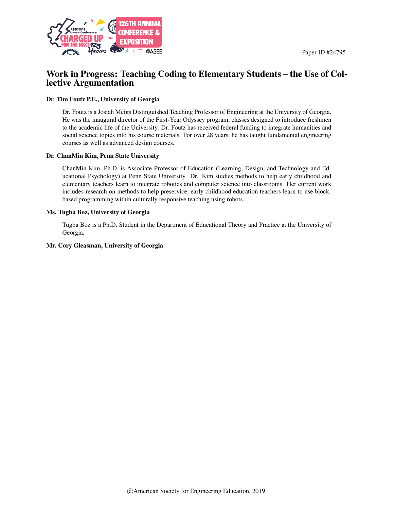

# Work in Progress: Teaching Coding to Elementary Students – the Use of Collective Argumentation

#### Dr. Tim Foutz P.E., University of Georgia

Dr. Foutz is a Josiah Meigs Distinguished Teaching Professor of Engineering at the University of Georgia. He was the inaugural director of the First-Year Odyssey program, classes designed to introduce freshmen to the academic life of the University. Dr. Foutz has received federal funding to integrate humanities and social science topics into his course materials. For over 28 years, he has taught fundamental engineering courses as well as advanced design courses.

#### Dr. ChanMin Kim, Penn State University

ChanMin Kim, Ph.D. is Associate Professor of Education (Learning, Design, and Technology and Educational Psychology) at Penn State University. Dr. Kim studies methods to help early childhood and elementary teachers learn to integrate robotics and computer science into classrooms. Her current work includes research on methods to help preservice, early childhood education teachers learn to use blockbased programming within culturally responsive teaching using robots.

#### Ms. Tugba Boz, University of Georgia

Tugba Boz is a Ph.D. Student in the Department of Educational Theory and Practice at the University of Georgia.

#### Mr. Cory Gleasman, University of Georgia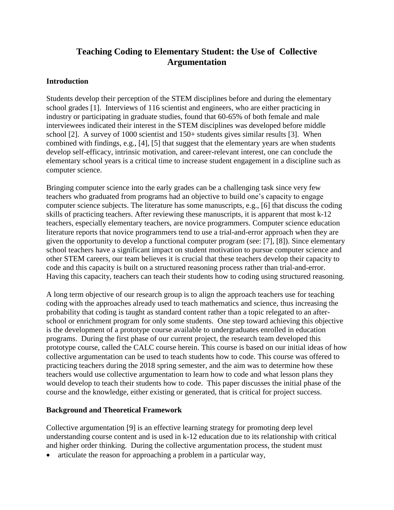# **Teaching Coding to Elementary Student: the Use of Collective Argumentation**

## **Introduction**

Students develop their perception of the STEM disciplines before and during the elementary school grades [1]. Interviews of 116 scientist and engineers, who are either practicing in industry or participating in graduate studies, found that 60-65% of both female and male interviewees indicated their interest in the STEM disciplines was developed before middle school [2]. A survey of 1000 scientist and 150+ students gives similar results [3]. When combined with findings, e.g., [4], [5] that suggest that the elementary years are when students develop self-efficacy, intrinsic motivation, and career-relevant interest, one can conclude the elementary school years is a critical time to increase student engagement in a discipline such as computer science.

Bringing computer science into the early grades can be a challenging task since very few teachers who graduated from programs had an objective to build one's capacity to engage computer science subjects. The literature has some manuscripts, e.g., [6] that discuss the coding skills of practicing teachers. After reviewing these manuscripts, it is apparent that most k-12 teachers, especially elementary teachers, are novice programmers. Computer science education literature reports that novice programmers tend to use a trial-and-error approach when they are given the opportunity to develop a functional computer program (see: [7], [8]). Since elementary school teachers have a significant impact on student motivation to pursue computer science and other STEM careers, our team believes it is crucial that these teachers develop their capacity to code and this capacity is built on a structured reasoning process rather than trial-and-error. Having this capacity, teachers can teach their students how to coding using structured reasoning.

A long term objective of our research group is to align the approach teachers use for teaching coding with the approaches already used to teach mathematics and science, thus increasing the probability that coding is taught as standard content rather than a topic relegated to an afterschool or enrichment program for only some students. One step toward achieving this objective is the development of a prototype course available to undergraduates enrolled in education programs. During the first phase of our current project, the research team developed this prototype course, called the CALC course herein. This course is based on our initial ideas of how collective argumentation can be used to teach students how to code. This course was offered to practicing teachers during the 2018 spring semester, and the aim was to determine how these teachers would use collective argumentation to learn how to code and what lesson plans they would develop to teach their students how to code. This paper discusses the initial phase of the course and the knowledge, either existing or generated, that is critical for project success.

### **Background and Theoretical Framework**

Collective argumentation [9] is an effective learning strategy for promoting deep level understanding course content and is used in k-12 education due to its relationship with critical and higher order thinking. During the collective argumentation process, the student must

• articulate the reason for approaching a problem in a particular way,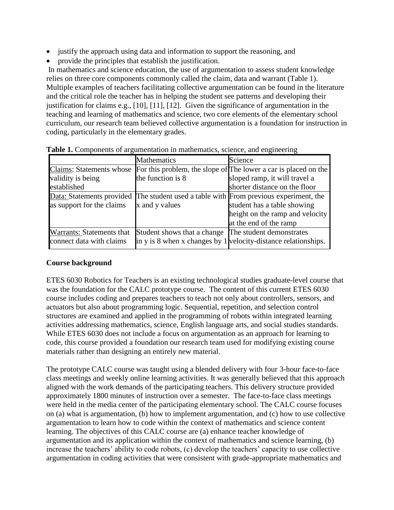- justify the approach using data and information to support the reasoning, and
- provide the principles that establish the justification.

In mathematics and science education, the use of argumentation to assess student knowledge relies on three core components commonly called the claim, data and warrant (Table 1). Multiple examples of teachers facilitating collective argumentation can be found in the literature and the critical role the teacher has in helping the student see patterns and developing their justification for claims e.g., [10], [11], [12]. Given the significance of argumentation in the teaching and learning of mathematics and science, two core elements of the elementary school curriculum, our research team believed collective argumentation is a foundation for instruction in coding, particularly in the elementary grades.

|                           | <b>Mathematics</b>          | Science                                                                               |
|---------------------------|-----------------------------|---------------------------------------------------------------------------------------|
| Claims: Statements whose  |                             | For this problem, the slope of The lower a car is placed on the                       |
| validity is being         | the function is 8           | sloped ramp, it will travel a                                                         |
| established               |                             | shorter distance on the floor                                                         |
|                           |                             | Data: Statements provided The student used a table with From previous experiment, the |
| as support for the claims | x and y values              | student has a table showing                                                           |
|                           |                             | height on the ramp and velocity                                                       |
|                           |                             | at the end of the ramp                                                                |
| Warrants: Statements that | Student shows that a change | The student demonstrates                                                              |
| connect data with claims  |                             | in y is 8 when x changes by $1$ velocity-distance relationships.                      |

**Table 1.** Components of argumentation in mathematics, science, and engineering

# **Course background**

ETES 6030 Robotics for Teachers is an existing technological studies graduate-level course that was the foundation for the CALC prototype course. The content of this current ETES 6030 course includes coding and prepares teachers to teach not only about controllers, sensors, and actuators but also about programming logic. Sequential, repetition, and selection control structures are examined and applied in the programming of robots within integrated learning activities addressing mathematics, science, English language arts, and social studies standards. While ETES 6030 does not include a focus on argumentation as an approach for learning to code, this course provided a foundation our research team used for modifying existing course materials rather than designing an entirely new material.

The prototype CALC course was taught using a blended delivery with four 3-hour face-to-face class meetings and weekly online learning activities. It was generally believed that this approach aligned with the work demands of the participating teachers. This delivery structure provided approximately 1800 minutes of instruction over a semester. The face-to-face class meetings were held in the media center of the participating elementary school. The CALC course focuses on (a) what is argumentation, (b) how to implement argumentation, and (c) how to use collective argumentation to learn how to code within the context of mathematics and science content learning. The objectives of this CALC course are (a) enhance teacher knowledge of argumentation and its application within the context of mathematics and science learning, (b) increase the teachers' ability to code robots, (c) develop the teachers' capacity to use collective argumentation in coding activities that were consistent with grade-appropriate mathematics and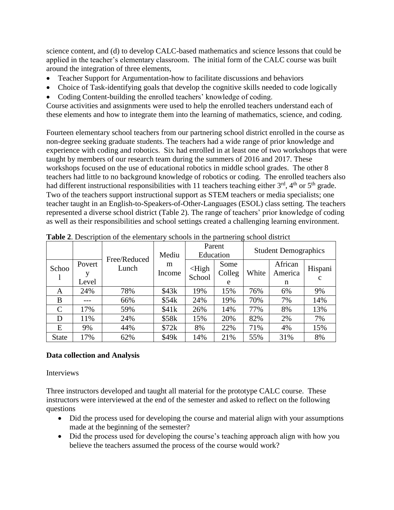science content, and (d) to develop CALC-based mathematics and science lessons that could be applied in the teacher's elementary classroom. The initial form of the CALC course was built around the integration of three elements,

- Teacher Support for Argumentation-how to facilitate discussions and behaviors
- Choice of Task-identifying goals that develop the cognitive skills needed to code logically
- Coding Content-building the enrolled teachers' knowledge of coding.

Course activities and assignments were used to help the enrolled teachers understand each of these elements and how to integrate them into the learning of mathematics, science, and coding.

Fourteen elementary school teachers from our partnering school district enrolled in the course as non-degree seeking graduate students. The teachers had a wide range of prior knowledge and experience with coding and robotics. Six had enrolled in at least one of two workshops that were taught by members of our research team during the summers of 2016 and 2017. These workshops focused on the use of educational robotics in middle school grades. The other 8 teachers had little to no background knowledge of robotics or coding. The enrolled teachers also had different instructional responsibilities with 11 teachers teaching either  $3<sup>rd</sup>$ ,  $4<sup>th</sup>$  or  $5<sup>th</sup>$  grade. Two of the teachers support instructional support as STEM teachers or media specialists; one teacher taught in an English-to-Speakers-of-Other-Languages (ESOL) class setting. The teachers represented a diverse school district (Table 2). The range of teachers' prior knowledge of coding as well as their responsibilities and school settings created a challenging learning environment.

|              |                      | Free/Reduced<br>Lunch | Mediu<br>m<br>Income | Parent<br>Education        |                     | <b>Student Demographics</b> |                         |              |
|--------------|----------------------|-----------------------|----------------------|----------------------------|---------------------|-----------------------------|-------------------------|--------------|
| Schoo        | Povert<br>V<br>Level |                       |                      | $\triangle$ High<br>School | Some<br>Colleg<br>e | White                       | African<br>America<br>n | Hispani<br>C |
| A            | 24%                  | 78%                   | \$43k                | 19%                        | 15%                 | 76%                         | 6%                      | 9%           |
| B            | ---                  | 66%                   | \$54k                | 24%                        | 19%                 | 70%                         | 7%                      | 14%          |
| C            | 17%                  | 59%                   | \$41k                | 26%                        | 14%                 | 77%                         | 8%                      | 13%          |
| D            | 11%                  | 24%                   | \$58k                | 15%                        | 20%                 | 82%                         | 2%                      | 7%           |
| E            | 9%                   | 44%                   | \$72k                | 8%                         | 22%                 | 71%                         | 4%                      | 15%          |
| <b>State</b> | 17%                  | 62%                   | \$49k                | 14%                        | 21%                 | 55%                         | 31%                     | 8%           |

**Table 2**. Description of the elementary schools in the partnering school district

# **Data collection and Analysis**

### Interviews

Three instructors developed and taught all material for the prototype CALC course. These instructors were interviewed at the end of the semester and asked to reflect on the following questions

- Did the process used for developing the course and material align with your assumptions made at the beginning of the semester?
- Did the process used for developing the course's teaching approach align with how you believe the teachers assumed the process of the course would work?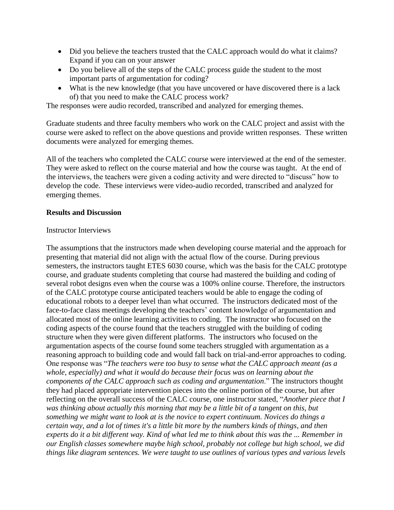- Did you believe the teachers trusted that the CALC approach would do what it claims? Expand if you can on your answer
- Do you believe all of the steps of the CALC process guide the student to the most important parts of argumentation for coding?
- What is the new knowledge (that you have uncovered or have discovered there is a lack of) that you need to make the CALC process work?

The responses were audio recorded, transcribed and analyzed for emerging themes.

Graduate students and three faculty members who work on the CALC project and assist with the course were asked to reflect on the above questions and provide written responses. These written documents were analyzed for emerging themes.

All of the teachers who completed the CALC course were interviewed at the end of the semester. They were asked to reflect on the course material and how the course was taught. At the end of the interviews, the teachers were given a coding activity and were directed to "discuss" how to develop the code. These interviews were video-audio recorded, transcribed and analyzed for emerging themes.

### **Results and Discussion**

### Instructor Interviews

The assumptions that the instructors made when developing course material and the approach for presenting that material did not align with the actual flow of the course. During previous semesters, the instructors taught ETES 6030 course, which was the basis for the CALC prototype course, and graduate students completing that course had mastered the building and coding of several robot designs even when the course was a 100% online course. Therefore, the instructors of the CALC prototype course anticipated teachers would be able to engage the coding of educational robots to a deeper level than what occurred. The instructors dedicated most of the face-to-face class meetings developing the teachers' content knowledge of argumentation and allocated most of the online learning activities to coding. The instructor who focused on the coding aspects of the course found that the teachers struggled with the building of coding structure when they were given different platforms. The instructors who focused on the argumentation aspects of the course found some teachers struggled with argumentation as a reasoning approach to building code and would fall back on trial-and-error approaches to coding. One response was "*The teachers were too busy to sense what the CALC approach meant (as a whole, especially) and what it would do because their focus was on learning about the components of the CALC approach such as coding and argumentation*." The instructors thought they had placed appropriate intervention pieces into the online portion of the course, but after reflecting on the overall success of the CALC course, one instructor stated, "*Another piece that I was thinking about actually this morning that may be a little bit of a tangent on this, but something we might want to look at is the novice to expert continuum. Novices do things a certain way, and a lot of times it's a little bit more by the numbers kinds of things, and then experts do it a bit different way. Kind of what led me to think about this was the ... Remember in our English classes somewhere maybe high school, probably not college but high school, we did things like diagram sentences. We were taught to use outlines of various types and various levels*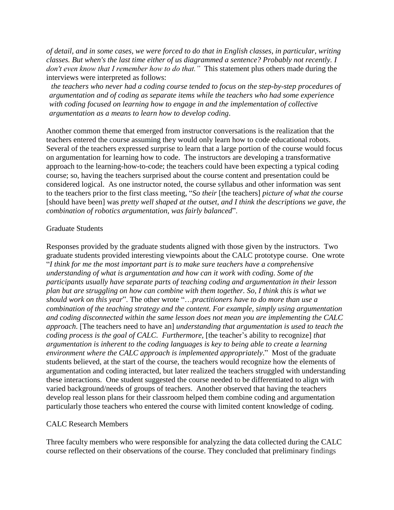*of detail, and in some cases, we were forced to do that in English classes, in particular, writing classes. But when's the last time either of us diagrammed a sentence? Probably not recently. I don't even know that I remember how to do that."* This statement plus others made during the interviews were interpreted as follows:

*the teachers who never had a coding course tended to focus on the step-by-step procedures of argumentation and of coding as separate items while the teachers who had some experience with coding focused on learning how to engage in and the implementation of collective argumentation as a means to learn how to develop coding*.

Another common theme that emerged from instructor conversations is the realization that the teachers entered the course assuming they would only learn how to code educational robots. Several of the teachers expressed surprise to learn that a large portion of the course would focus on argumentation for learning how to code. The instructors are developing a transformative approach to the learning-how-to-code; the teachers could have been expecting a typical coding course; so, having the teachers surprised about the course content and presentation could be considered logical. As one instructor noted, the course syllabus and other information was sent to the teachers prior to the first class meeting, "*So their* [the teachers] *picture of what the course*  [should have been] was *pretty well shaped at the outset, and I think the descriptions we gave, the combination of robotics argumentation, was fairly balanced*".

#### Graduate Students

Responses provided by the graduate students aligned with those given by the instructors. Two graduate students provided interesting viewpoints about the CALC prototype course. One wrote "*I think for me the most important part is to make sure teachers have a comprehensive understanding of what is argumentation and how can it work with coding. Some of the participants usually have separate parts of teaching coding and argumentation in their lesson plan but are struggling on how can combine with them together. So, I think this is what we should work on this year*". The other wrote "…*practitioners have to do more than use a combination of the teaching strategy and the content. For example, simply using argumentation and coding disconnected within the same lesson does not mean you are implementing the CALC approach*. [The teachers need to have an] *understanding that argumentation is used to teach the coding process is the goal of CALC. Furthermore,* [the teacher's ability to recognize] *that argumentation is inherent to the coding languages is key to being able to create a learning environment where the CALC approach is implemented appropriately*." Most of the graduate students believed, at the start of the course, the teachers would recognize how the elements of argumentation and coding interacted, but later realized the teachers struggled with understanding these interactions. One student suggested the course needed to be differentiated to align with varied background/needs of groups of teachers. Another observed that having the teachers develop real lesson plans for their classroom helped them combine coding and argumentation particularly those teachers who entered the course with limited content knowledge of coding.

### CALC Research Members

Three faculty members who were responsible for analyzing the data collected during the CALC course reflected on their observations of the course. They concluded that preliminary findings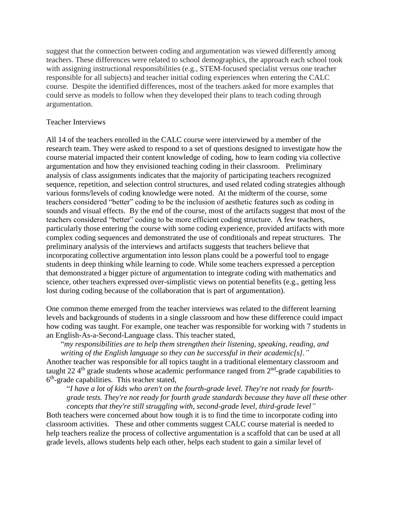suggest that the connection between coding and argumentation was viewed differently among teachers. These differences were related to school demographics, the approach each school took with assigning instructional responsibilities (e.g., STEM-focused specialist versus one teacher responsible for all subjects) and teacher initial coding experiences when entering the CALC course. Despite the identified differences, most of the teachers asked for more examples that could serve as models to follow when they developed their plans to teach coding through argumentation.

### Teacher Interviews

All 14 of the teachers enrolled in the CALC course were interviewed by a member of the research team. They were asked to respond to a set of questions designed to investigate how the course material impacted their content knowledge of coding, how to learn coding via collective argumentation and how they envisioned teaching coding in their classroom. Preliminary analysis of class assignments indicates that the majority of participating teachers recognized sequence, repetition, and selection control structures, and used related coding strategies although various forms/levels of coding knowledge were noted. At the midterm of the course, some teachers considered "better" coding to be the inclusion of aesthetic features such as coding in sounds and visual effects. By the end of the course, most of the artifacts suggest that most of the teachers considered "better" coding to be more efficient coding structure. A few teachers, particularly those entering the course with some coding experience, provided artifacts with more complex coding sequences and demonstrated the use of conditionals and repeat structures. The preliminary analysis of the interviews and artifacts suggests that teachers believe that incorporating collective argumentation into lesson plans could be a powerful tool to engage students in deep thinking while learning to code. While some teachers expressed a perception that demonstrated a bigger picture of argumentation to integrate coding with mathematics and science, other teachers expressed over-simplistic views on potential benefits (e.g., getting less lost during coding because of the collaboration that is part of argumentation).

One common theme emerged from the teacher interviews was related to the different learning levels and backgrounds of students in a single classroom and how these difference could impact how coding was taught. For example, one teacher was responsible for working with 7 students in an English-As-a-Second-Language class. This teacher stated,

"*my responsibilities are to help them strengthen their listening, speaking, reading, and writing of the English language so they can be successful in their academic[s]."* 

Another teacher was responsible for all topics taught in a traditional elementary classroom and taught 22  $4<sup>th</sup>$  grade students whose academic performance ranged from  $2<sup>nd</sup>$ -grade capabilities to 6<sup>th</sup>-grade capabilities. This teacher stated,

"*I have a lot of kids who aren't on the fourth-grade level. They're not ready for fourthgrade tests. They're not ready for fourth grade standards because they have all these other concepts that they're still struggling with, second-grade level, third-grade level"*

Both teachers were concerned about how tough it is to find the time to incorporate coding into classroom activities. These and other comments suggest CALC course material is needed to help teachers realize the process of collective argumentation is a scaffold that can be used at all grade levels, allows students help each other, helps each student to gain a similar level of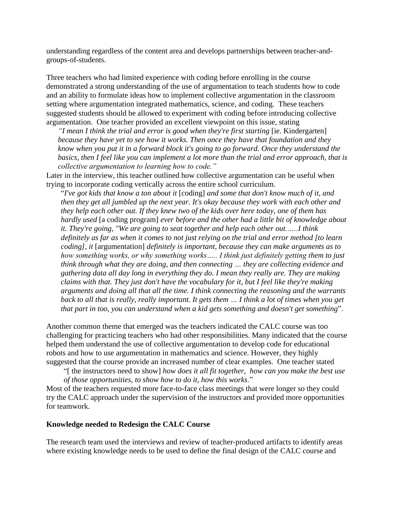understanding regardless of the content area and develops partnerships between teacher-andgroups-of-students.

Three teachers who had limited experience with coding before enrolling in the course demonstrated a strong understanding of the use of argumentation to teach students how to code and an ability to formulate ideas how to implement collective argumentation in the classroom setting where argumentation integrated mathematics, science, and coding. These teachers suggested students should be allowed to experiment with coding before introducing collective argumentation. One teacher provided an excellent viewpoint on this issue, stating

*"I mean I think the trial and error is good when they're first starting* [ie. Kindergarten] *because they have yet to see how it works. Then once they have that foundation and they know when you put it in a forward block it's going to go forward. Once they understand the basics, then I feel like you can implement a lot more than the trial and error approach, that is collective argumentation to learning how to code."*

Later in the interview, this teacher outlined how collective argumentation can be useful when trying to incorporate coding vertically across the entire school curriculum.

"*I've got kids that know a ton about it* [coding] *and some that don't know much of it, and then they get all jumbled up the next year. It's okay because they work with each other and they help each other out. If they knew two of the kids over here today, one of them has hardly used* [a coding program] *ever before and the other had a little bit of knowledge about it. They're going, "We are going to seat together and help each other out.…..I think definitely as far as when it comes to not just relying on the trial and error method [to learn coding], it* [argumentation] *definitely is important, because they can make arguments as to how something works, or why something works….. I think just definitely getting them to just think through what they are doing, and then connecting … they are collecting evidence and gathering data all day long in everything they do. I mean they really are. They are making claims with that. They just don't have the vocabulary for it, but I feel like they're making arguments and doing all that all the time. I think connecting the reasoning and the warrants back to all that is really, really important. It gets them … I think a lot of times when you get that part in too, you can understand when a kid gets something and doesn't get something*".

Another common theme that emerged was the teachers indicated the CALC course was too challenging for practicing teachers who had other responsibilities. Many indicated that the course helped them understand the use of collective argumentation to develop code for educational robots and how to use argumentation in mathematics and science. However, they highly suggested that the course provide an increased number of clear examples. One teacher stated

"[ the instructors need to show] *how does it all fit together, how can you make the best use of those opportunities, to show how to do it, how this works*."

Most of the teachers requested more face-to-face class meetings that were longer so they could try the CALC approach under the supervision of the instructors and provided more opportunities for teamwork.

#### **Knowledge needed to Redesign the CALC Course**

The research team used the interviews and review of teacher-produced artifacts to identify areas where existing knowledge needs to be used to define the final design of the CALC course and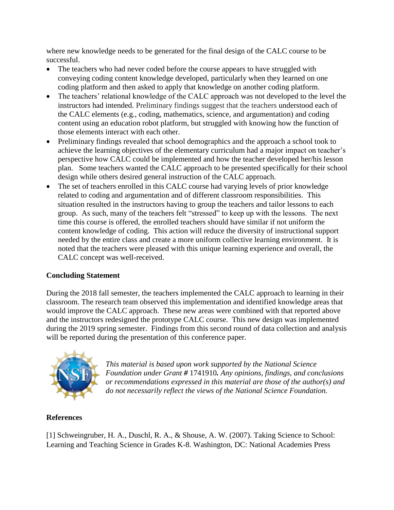where new knowledge needs to be generated for the final design of the CALC course to be successful.

- The teachers who had never coded before the course appears to have struggled with conveying coding content knowledge developed, particularly when they learned on one coding platform and then asked to apply that knowledge on another coding platform.
- The teachers' relational knowledge of the CALC approach was not developed to the level the instructors had intended. Preliminary findings suggest that the teachers understood each of the CALC elements (e.g., coding, mathematics, science, and argumentation) and coding content using an education robot platform, but struggled with knowing how the function of those elements interact with each other.
- Preliminary findings revealed that school demographics and the approach a school took to achieve the learning objectives of the elementary curriculum had a major impact on teacher's perspective how CALC could be implemented and how the teacher developed her/his lesson plan. Some teachers wanted the CALC approach to be presented specifically for their school design while others desired general instruction of the CALC approach.
- The set of teachers enrolled in this CALC course had varying levels of prior knowledge related to coding and argumentation and of different classroom responsibilities. This situation resulted in the instructors having to group the teachers and tailor lessons to each group. As such, many of the teachers felt "stressed" to keep up with the lessons. The next time this course is offered, the enrolled teachers should have similar if not uniform the content knowledge of coding. This action will reduce the diversity of instructional support needed by the entire class and create a more uniform collective learning environment. It is noted that the teachers were pleased with this unique learning experience and overall, the CALC concept was well-received.

# **Concluding Statement**

During the 2018 fall semester, the teachers implemented the CALC approach to learning in their classroom. The research team observed this implementation and identified knowledge areas that would improve the CALC approach. These new areas were combined with that reported above and the instructors redesigned the prototype CALC course. This new design was implemented during the 2019 spring semester. Findings from this second round of data collection and analysis will be reported during the presentation of this conference paper.



*This material is based upon work supported by the National Science Foundation under Grant #* 1741910*. Any opinions, findings, and conclusions or recommendations expressed in this material are those of the author(s) and do not necessarily reflect the views of the National Science Foundation.*

# **References**

[1] Schweingruber, H. A., Duschl, R. A., & Shouse, A. W. (2007). Taking Science to School: Learning and Teaching Science in Grades K-8. Washington, DC: National Academies Press